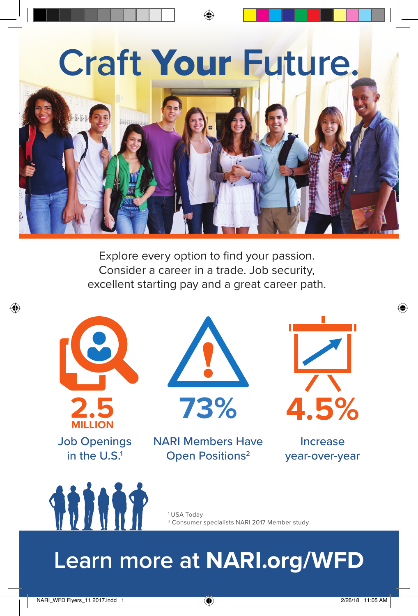

♠



Explore every option to find your passion. Consider a career in a trade. Job security, excellent starting pay and a great career path.



⊕





NARI Members Have **Open Positions<sup>2</sup>** 



⊕

Increase year-over-year



1 USA Today <sup>2</sup> Consumer specialists NARI 2017 Member study

## **Learn more at NARI.org/WFD**